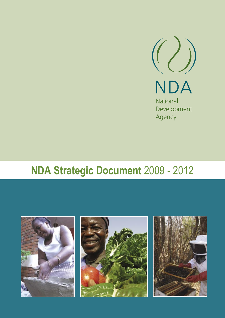

# **NDA Strategic Document** 2009 - 2012

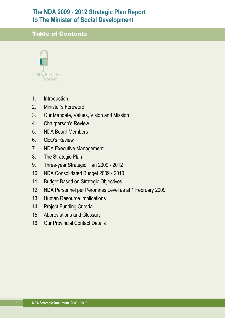## **The NDA 2009 - 2012 Strategic Plan Report to The Minister of Social Development**

### Table of Contents



- 1. Introduction
- 2. Minister's Foreword
- 3. Our Mandate, Values, Vision and Mission
- 4. Chairperson's Review
- 5. NDA Board Members
- 6. CEO's Review
- 7. NDA Executive Management
- 8. The Strategic Plan
- 9. Three-year Strategic Plan 2009 2012
- 10. NDA Consolidated Budget 2009 2010
- 11. Budget Based on Strategic Objectives
- 12. NDA Personnel per Peromnes Level as at 1 February 2009
- 13. Human Resource Implications
- 14. Project Funding Criteria
- 15. Abbreviations and Glossary
- 16. Our Provincial Contact Details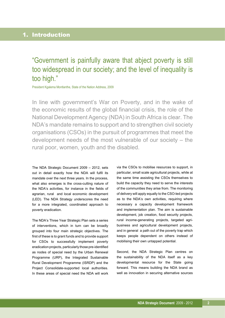### 1. Introduction

## "Government is painfully aware that abject poverty is still too widespread in our society; and the level of inequality is too high."

President Kgalema Montlanthe, State of the Nation Address, 2009

In line with government's War on Poverty, and in the wake of the economic results of the global financial crisis, the role of the National Development Agency (NDA) in South Africa is clear. The NDA's mandate remains to support and to strengthen civil society organisations (CSOs) in the pursuit of programmes that meet the development needs of the most vulnerable of our society – the rural poor, women, youth and the disabled.

The NDA Strategic Document 2009 – 2012, sets out in detail exactly how the NDA will fulfil its mandate over the next three years. In the process, what also emerges is the cross-cutting nature of the NDA's activities, for instance in the fields of agrarian, rural and local economic development (LED). The NDA Strategy underscores the need for a more integrated, coordinated approach to poverty eradication.

The NDA's Three Year Strategic Plan sets a series of interventions, which in turn can be broadly grouped into four main strategic objectives. The first of these is to grant funds and to provide support for CSOs to successfully implement poverty eradication projects, particularly those pre-identified as nodes of special need by the Urban Renewal Programme (URP), the Integrated Sustainable Rural Development Programme (ISRDP) and the Project Consolidate-supported local authorities. In these areas of special need the NDA will work via the CSOs to mobilise resources to support, in particular, small scale agricultural projects, while at the same time assisting the CSOs themselves to build the capacity they need to serve the interests of the communities they arise from. The monitoring of delivery will apply equally to the CSO-led projects as to the NDA's own activities, requiring where necessary a capacity development framework and implementation plan. The aim is sustainable development, job creation, food security projects, rural income-generating projects, targeted agribusiness and agricultural development projects, and in general a path out of the poverty trap which keeps people dependent on others instead of mobilising their own untapped potential.

Second, the NDA Strategic Plan centres on the sustainability of the NDA itself as a key developmental resource for the State going forward. This means building the NDA brand as well as innovation in securing alternative sources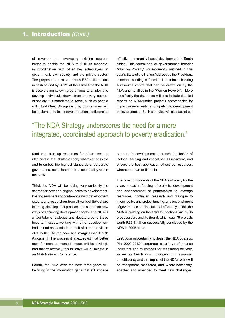of revenue and leveraging existing sources better to enable the NDA to fulfil its mandate, in coordination with other key role-players in government, civil society and the private sector. The purpose is to raise or earn R50 million extra in cash or kind by 2012. At the same time the NDA is accelerating its own programmes to employ and develop individuals drawn from the very sectors of society it is mandated to serve, such as people with disabilities. Alongside this, programmes will be implemented to improve operational efficiencies

effective community-based development in South Africa. This forms part of government's broader "War on Poverty" so eloquently outlined in this year's State of the Nation Address by the President. It means building a functional, database backing a resource centre that can be drawn on by the NDA and its allies in the "War on Poverty". More specifically the data base will also include detailed reports on NDA-funded projects accompanied by impact assessments, and inputs into development policy produced. Such a service will also assist our

"The NDA Strategy underscores the need for a more integrated, coordinated approach to poverty eradication."

(and thus free up resources for other uses as identified in the Strategic Plan) wherever possible and to embed the highest standards of corporate governance, compliance and accountability within the NDA.

Third, the NDA will be taking very seriously the search for new and original paths to development, hosting seminars and conferences with development experts and researchers from all walks of life to share learning, develop best practice, and search for new ways of achieving development goals. The NDA is a facilitator of dialogue and debate around these important issues, working with other development bodies and academia in pursuit of a shared vision of a better life for poor and marginalised South Africans. In the process it is expected that better tools for measurement of impact will be devised, and that collectively this initiative will culminate in an NDA National Conference.

Fourth, the NDA over the next three years will be filling in the information gaps that still impede partners in development, entrench the habits of lifelong learning and critical self assessment, and ensure the best application of scarce resources, whether human or financial.

The core components of the NDA's strategy for the years ahead is funding of projects; development and enhancement of partnerships to leverage resources; continued research and dialogue to inform policy and project funding; and entrenchment of governance and institutional efficiency. In this the NDA is building on the solid foundations laid by its predecessors and its Board, which saw 79 projects worth R89,9 million successfully concluded by the NDA in 2008 alone.

Last, but most certainly not least, the NDA Strategic Plan 2009-2012 incorporates clear key performance indicators and milestones for measuring delivery, as well as their links with budgets. In this manner the efficiency and the impact of the NDA's work will be transparent, monitored, and, where necessary, adapted and amended to meet new challenges.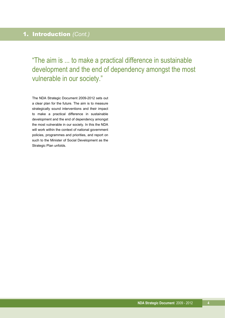"The aim is ... to make a practical difference in sustainable development and the end of dependency amongst the most vulnerable in our society."

The NDA Strategic Document 2009-2012 sets out a clear plan for the future. The aim is to measure strategically sound interventions and their impact to make a practical difference in sustainable development and the end of dependency amongst the most vulnerable in our society. In this the NDA will work within the context of national government policies, programmes and priorities, and report on such to the Minister of Social Development as the Strategic Plan unfolds.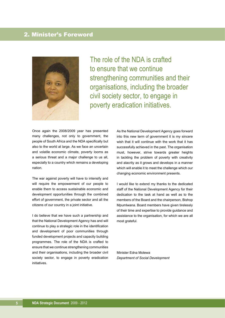### 2. Minister's Foreword



The role of the NDA is crafted to ensure that we continue strengthening communities and their organisations, including the broader civil society sector, to engage in poverty eradication initiatives.

Once again the 2008/2009 year has presented many challenges, not only to government, the people of South Africa and the NDA specifically but also to the world at large. As we face an uncertain and volatile economic climate, poverty looms as a serious threat and a major challenge to us all, especially to a country which remains a developing nation.

The war against poverty will have to intensify and will require the empowerment of our people to enable them to access sustainable economic and development opportunities through the combined effort of government, the private sector and all the citizens of our country in a joint initiative.

I do believe that we have such a partnership and that the National Development Agency has and will continue to play a strategic role in the identification and development of poor communities through funded development projects and capacity building programmes. The role of the NDA is crafted to ensure that we continue strengthening communities and their organisations, including the broader civil society sector, to engage in poverty eradication initiatives.

As the National Development Agency goes forward into this new term of government it is my sincere wish that it will continue with the work that it has successfully achieved in the past. The organisation must, however, strive towards greater heights in tackling the problem of poverty with creativity and alacrity as it grows and develops in a manner which will enable it to meet the challenge which our changing economic environment presents.

I would like to extend my thanks to the dedicated staff of the National Development Agency for their dedication to the task at hand as well as to the members of the Board and the chairperson, Bishop Mpumlwana. Board members have given tirelessly of their time and expertise to provide guidance and assistance to the organisation, for which we are all most grateful.

Minister Edna Molewa *Department of Social Development*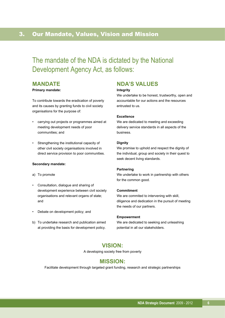## 3. Our Mandate, Values, Vision and Mission

## The mandate of the NDA is dictated by the National Development Agency Act, as follows:

### **MANDATE**

#### **Primary mandate:**

To contribute towards the eradication of poverty and its causes by granting funds to civil society organisations for the purpose of:

- carrying out projects or programmes aimed at meeting development needs of poor communities; and
- Strengthening the institutional capacity of other civil society organisations involved in direct service provision to poor communities.

#### **Secondary mandate:**

- a) To promote
- Consultation, dialogue and sharing of development experience between civil society organisations and relevant organs of state; and
- Debate on development policy; and
- b) To undertake research and publication aimed at providing the basis for development policy.

### **NDA'S VALUES**

#### **Integrity**

We undertake to be honest, trustworthy, open and accountable for our actions and the resources entrusted to us.

#### **Excellence**

We are dedicated to meeting and exceeding delivery service standards in all aspects of the business.

#### **Dignity**

We promise to uphold and respect the dignity of the individual, group and society in their quest to seek decent living standards.

#### **Partnering**

We undertake to work in partnership with others for the common good.

#### **Commitment**

We are commited to intervening with skill, diligence and dedication in the pursuit of meeting the needs of our partners.

#### **Empowerment**

We are dedicated to seeking and unleashing potential in all our stakeholders.

### **VISION:**

A developing society free from poverty

#### **MISSION:**

Facilitate development through targeted grant funding, research and strategic partnerships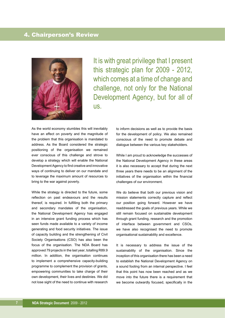### 4. Chairperson's Review



It is with great privilege that I present this strategic plan for 2009 - 2012, which comes at a time of change and challenge, not only for the National Development Agency, but for all of us.

As the world economy stumbles this will inevitably have an effect on poverty and the magnitude of the problem that this organisation is mandated to address. As the Board considered the strategic positioning of the organisation we remained ever conscious of this challenge and strove to develop a strategy which will enable the National Development Agency to find creative and innovative ways of continuing to deliver on our mandate and to leverage the maximum amount of resources to bring to the war against poverty.

While the strategy is directed to the future, some reflection on past endeavours and the results thereof, is required. In fulfilling both the primary and secondary mandates of the organisation, the National Development Agency has engaged in an intensive grant funding process which has seen funds made available to a variety of income generating and food security initiatives. The issue of capacity building and the strengthening of Civil Society Organisations (CSO) has also been the focus of the organisation. The NDA Board has approved 79 projects in the last year, totalling R89.9 million. In addition, the organisation continues to implement a comprehensive capacity-building programme to complement the provision of grants, empowering communities to take charge of their own development, their lives and destinies. We did not lose sight of the need to continue with research

to inform decisions as well as to provide the basis for the development of policy. We also remained conscious of the need to promote debate and dialogue between the various key stakeholders.

While I am proud to acknowledge the successes of the National Development Agency in these areas it is also necessary to accept that during the next three years there needs to be an alignment of the initiatives of the organisation within the financial challenges of our environment.

We do believe that both our previous vision and mission statements correctly capture and reflect our position going forward. However we have readdressed the goals of previous years. While we still remain focused on sustainable development through grant funding, research and the promotion of interface between government and CSOs, we have also recognised the need to promote organisational sustainability and excellence.

It is necessary to address the issue of the sustainability of the organisation. Since the inception of this organisation there has been a need to establish the National Development Agency on a sound footing from an internal perspective. I feel that this point has now been reached and as we move into the future there is a requirement that we become outwardly focused, specifically in the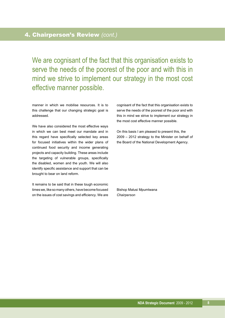### 4. Chairperson's Review *(cont.)*

We are cognisant of the fact that this organisation exists to serve the needs of the poorest of the poor and with this in mind we strive to implement our strategy in the most cost effective manner possible.

manner in which we mobilise resources. It is to this challenge that our changing strategic goal is addressed.

We have also considered the most effective ways in which we can best meet our mandate and in this regard have specifically selected key areas for focused initiatives within the wider plans of continued food security and income generating projects and capacity building. These areas include the targeting of vulnerable groups, specifically the disabled, women and the youth. We will also identify specific assistance and support that can be brought to bear on land reform.

It remains to be said that in these tough economic times we, like so many others, have become focused on the issues of cost savings and efficiency. We are cognisant of the fact that this organisation exists to serve the needs of the poorest of the poor and with this in mind we strive to implement our strategy in the most cost effective manner possible.

On this basis I am pleased to present this, the 2009 – 2012 strategy to the Minister on behalf of the Board of the National Development Agency.

Bishop Malusi Mpumlwana *Chairperson*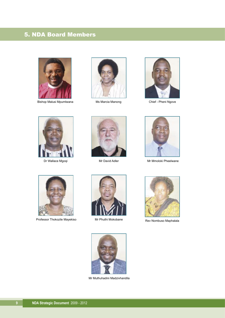## 5. NDA Board Members



Bishop Malusi Mpumlwana **Chief - Pheni Ngove** Ms Marcia Manong Chief - Pheni Ngove



Ms Marcia Manong









Dr Wallace Mgoqi **Mr David Adler** Mr David Adler Mr Mmoloki Pheelwane



Professor Thokozile Mayekiso Mr Phuthi Mokobane Rev Nombuso Maphalala



Mr Phuthi Mokobane





Mr Muthuhadini Madzivhandila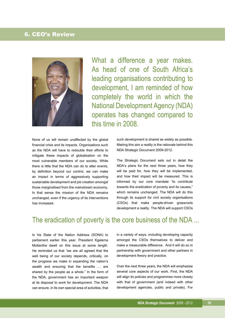### 6. CEO's Review



What a difference a year makes. As head of one of South Africa's leading organisations contributing to development, I am reminded of how completely the world in which the National Development Agency (NDA) operates has changed compared to this time in 2008.

None of us will remain unaffected by the global financial crisis and its impacts. Organisations such as the NDA will have to redouble their efforts to mitigate these impacts of globalisation on the most vulnerable members of our society. While there is little that the NDA can do to alter events, by definition beyond our control, we can make an impact in terms of aggressively supporting sustainable development and job creation amongst those marginalised from the mainstream economy. In that sense the mission of the NDA remains unchanged, even if the urgency of its interventions has increased.

such development is shared as widely as possible. Making this aim a reality is the rationale behind this NDA Strategic Document 2009-2012.

The Strategic Document sets out in detail the NDA's plans for the next three years, how they will be paid for, how they will be implemented, and how their impact will be measured. This is informed by our core mandate "to contribute towards the eradication of poverty and its causes," which remains unchanged. The NDA will do this through its support for civil society organisations (CSOs) that make people-driven grassroots development a reality. The NDA will support CSOs

## The eradication of poverty is the core business of the NDA ...

In his State of the Nation Address (SONA) to parliament earlier this year, President Kgalema Motlanthe dwelt on this issue at some length. He reminded us that "we are all agreed that the well being of our society depends, critically, on the progress we make in expanding the nation's wealth and ensuring that the benefits … are shared by the people as a whole." In the form of the NDA, government has an important weapon at its disposal to work for development. The NDA can ensure, in its own special area of activities, that in a variety of ways, including developing capacity amongst the CSOs themselves to deliver and make a measurable difference. And it will do so in partnership with government and other partners in development theory and practice.

Over the next three years, the NDA will emphasise several core aspects of our work. First, the NDA will align its policies and programmes more closely with that of government (and indeed with other development agencies, public and private). For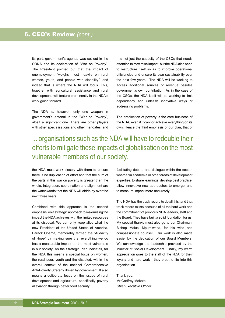its part, government's agenda was set out in the SONA and its declaration of "War on Poverty". The President pointed out that the impact of unemployment "weighs most heavily on rural women, youth, and people with disability," and indeed that is where the NDA will focus. This, together with agricultural assistance and rural development, will feature prominently in the NDA's work going forward.

The NDA is, however, only one weapon in government's arsenal in the "War on Poverty", albeit a significant one. There are other players with other specialisations and other mandates, and

It is not just the capacity of the CSOs that needs attention to maximise impact, but the NDA also need to restructure itself so as to improve operational efficiencies and ensure its own sustainability over the next few years. The NDA will be working to access additional sources of revenue besides government's own contribution. As in the case of the CSOs, the NDA itself will be working to limit dependency and unleash innovative ways of addressing problems.

The eradication of poverty is the core business of the NDA, even if it cannot achieve everything on its own. Hence the third emphasis of our plan, that of

## ... organisations such as the NDA will have to redouble their efforts to mitigate these impacts of globalisation on the most vulnerable members of our society.

the NDA must work closely with them to ensure there is no duplication of effort and that the sum of the parts in this war on poverty is greater than the whole. Integration, coordination and alignment are the watchwords that the NDA will abide by over the next three years.

Combined with this approach is the second emphasis, on a strategic approach to maximising the impact the NDA achieves with the limited resources at its disposal. We can only keep alive what the new President of the United States of America, Barack Obama, memorably termed the "Audacity of Hope" by making sure that everything we do has a measurable impact on the most vulnerable in our society. As the Strategic Plan indicates, for the NDA this means a special focus on women, the rural poor, youth and the disabled, within the overall context of the national Comprehensive Anti-Poverty Strategy driven by government. It also means a deliberate focus on the issues of rural development and agriculture, specifically poverty alleviation through better food security.

facilitating debate and dialogue within the sector, whether in academia or other areas of development expertise, to share learnings, develop best practice, allow innovative new approaches to emerge, and to measure impact more accurately.

The NDA has the track record to do all this, and that track record exists because of all the hard work and the commitment of previous NDA leaders, staff and the Board. They have built a solid foundation for us. My special thanks must also go to our Chairman, Bishop Malusi Mpumlwana, for his wise and compassionate counsel. Our work is also made easier by the dedication of our Board Members. We acknowledge the leadership provided by the Minister of Social Development. Finally, my warm appreciation goes to the staff of the NDA for their loyalty and hard work - they breathe life into this organisation.

Thank you. Mr Godfrey Mokate *Chief Executive Officer*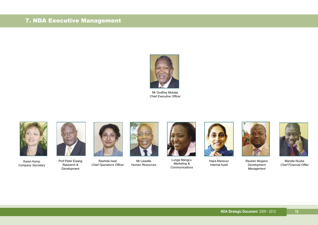## 7. NDA Executive Management



Mr Godfrey Mokate *Chief Executive Officer*



Karen Kemp *Company Secretary*



Prof Peter Ewang Research & Development



Rashida Issel *Chief Operations Officer*



Mr Lewatle *Human Resources*



Lunga Mangcu *Marketing & Communications*



Hajra Mansour Internal Audit



Reuben Mogano *Development Management*



Mandla Ncube *Chief Financial Offier*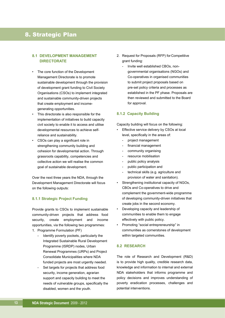### 8. Strategic Plan

#### **8.1 DEVELOPMENT MANAGEMENT DIRECTORATE**

- The core function of the Development Management Directorate is to promote sustainable development through the provision of development grant funding to Civil Society Organisations (CSOs) to implement integrated and sustainable community-driven projects that create employment and income generating opportunities.
- This directorate is also responsible for the implementation of initiatives to build capacity civil society to enable it to access and utilise developmental resources to achieve self reliance and sustainability.
- CSOs can play a significant role in strengthening community building and cohesion for developmental action. Through grassroots capability, competencies and collective action we will realise the common goal of sustainable development.

Over the next three years the NDA, through the Development Management Directorate will focus on the following outputs:

#### **8.1.1 Strategic Project Funding**

Provide grants to CSOs to implement sustainable community-driven projects that address food security, create employment and income opportunities, via the following two programmes:

- 1. Programme Formulation (PF)
	- Identify poverty pockets, particularly the Integrated Sustainable Rural Development Programme (ISRDP) nodes, Urban Renewal Programmes (URPs) and Project Consolidate Municipalities where NDA funded projects are most urgently needed.
	- Set targets for projects that address food security, income generation, agrarian support and capacity building to meet the needs of vulnerable groups, specifically the disabled, women and the youth.
- 2. Request for Proposals (RFP) for Competitive grant funding:
	- Invite well established CBOs, non governmental organisations (NGOs) and Co-operatives in organised communities to submit project proposals based on pre-set policy criteria and processes as established in the PF phase. Proposals are then reviewed and submitted to the Board for approval.

#### **8.1.2 Capacity Building**

Capacity building will focus on the following:

- Effective service delivery by CSOs at local level, specifically in the areas of:
	- project management
	- financial management
	- community organising
	- resource mobilisation
	- public policy analysis
	- public participation and
	- technical skills (e.g. agriculture and provision of water and sanitation).
- Strengthening institutional capacity of NGOs, CBOs and Co-operatives to drive and complement the government-wide programme of developing community-driven initiatives that create jobs in the second economy.
- Developing capacity and leadership of communities to enable them to engage effectively with public policy.
- Promoting "social entrepreneurship" in communities as cornerstones of development within targeted communities.

#### **8.2 RESEARCH**

The role of Research and Development (R&D) is to provide high quality, credible research data, knowledge and information to internal and external NDA stakeholders that informs programme and policy decisions and improves understanding of poverty eradication processes, challenges and potential interventions.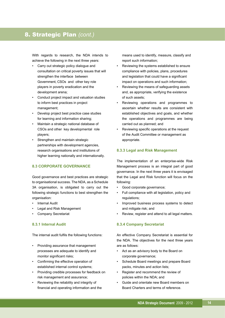### 8. Strategic Plan *(cont.)*

With regards to research, the NDA intends to achieve the following in the next three years:

- Carry out strategic policy dialogue and consultation on critical poverty issues that will strengthen the interface between Government, CSOs and other key role players in poverty eradication and the development arena;
- Conduct project impact and valuation studies to inform best practices in project management;
- Develop project best practice case studies for learning and information sharing;
- Maintain a strategic national database of CSOs and other key developmental role players;
- Strengthen and maintain strategic partnerships with development agencies, research organisations and institutions of higher learning nationally and internationally.

#### **8.3 CORPORATE GOVERNANCE**

Good governance and best practices are strategic to organisational success. The NDA, as a Schedule 3A organisation, is obligated to carry out the following strategic functions to best strengthen the organisation:

- **Internal Audit**
- Legal and Risk Management
- Company Secretariat

#### **8.3.1 Internal Audit**

The internal audit fulfils the following functions:

- Providing assurance that management processes are adequate to identify and monitor significant risks;
- Confirming the effective operation of established internal control systems;
- Providing credible processes for feedback on risk management and assurance;
- Reviewing the reliability and integrity of financial and operating information and the

 means used to identify, measure, classify and report such information;

- Reviewing the systems established to ensure compliance with policies, plans, procedures and legislation that could have a significant impact on operations and such information;
- Reviewing the means of safeguarding assets and, as appropriate, verifying the existence of such assets;
- Reviewing operations and programmes to ascertain whether results are consistent with established objectives and goals, and whether the operations and programmes are being carried out as planned; and
- Reviewing specific operations at the request of the Audit Committee or management as appropriate.

#### **8.3.3 Legal and Risk Management**

The implementation of an enterprise-wide Risk Management process is an integral part of good governance. In the next three years it is envisaged that the Legal and Risk function will focus on the following:

- Good corporate governance;
- Full compliance with all legislation, policy and regulations;
- Improved business process systems to detect and mitigate risk; and
- Review, register and attend to all legal matters.

#### **8.3.4 Company Secretariat**

An effective Company Secretariat is essential for the NDA. The objectives for the next three years are as follows:

- Act as an advisory body to the Board on corporate governance;
- Schedule Board meetings and prepare Board packs, minutes and action lists;
- Register and recommend the review of policies within the NDA; and
- Guide and orientate new Board members on Board Charters and terms of reference.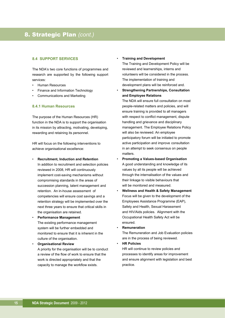#### **8.4 SUPPORT SERVICES**

The NDA's two core functions of programmes and research are supported by the following support services:

- Human Resources
- Finance and Information Technology
- Communications and Marketing

#### **8.4.1 Human Resources**

The purpose of the Human Resources (HR) function in the NDA is to support the organisation in its mission by attracting, motivating, developing, rewarding and retaining its personnel.

HR will focus on the following interventions to achieve organisational excellence:

- • **Recruitment, Induction and Retention** In addition to recruitment and selection policies reviewed in 2008, HR will continuously implement cost-saving mechanisms without compromising standards in the areas of succession planning, talent management and retention. An in-house assessment of competencies will ensure cost savings and a retention strategy will be implemented over the next three years to ensure that critical skills in the organisation are retained.
- • **Performance Management** The existing performance management system will be further embedded and monitored to ensure that it is inherent in the culture of the organisation.
- • **Organisational Review** A priority for the organisation will be to conduct a review of the flow of work to ensure that the work is directed appropriately and that the capacity to manage the workflow exists.

• **Training and Development**

 The Training and Development Policy will be reviewed and learnerships, interns and volunteers will be considered in the process. The implementation of training and development plans will be reinforced and.

• **Strengthening Partnerships, Consultation and Employee Relations**

 The NDA will ensure full consultation on most people-related matters and policies, and will ensure training is provided to all managers with respect to conflict management, dispute handling and grievance and disciplinary management. The Employee Relations Policy will also be reviewed. An employee participatory forum will be initiated to promote active participation and improve consultation in an attempt to seek consensus on people matters.

- **Promoting a Values-based Organisation** A good understanding and knowledge of its values by all its people will be achieved through the internalisation of the values and their linkage to visible behaviours that will be monitored and measured.
- **Wellness and Health & Safety Management** Focus will be given to the development of the Employees Assistance Programme (EAP), Safety and Health, Sexual Harassment and HIV/Aids policies. Alignment with the Occupational Health Safety Act will be ensured.
- **Remuneration**

 The Remuneration and Job Evaluation policies are in the process of being reviewed.

• **HR Policies** HR will continue to review policies and processes to identify areas for improvement and ensure alignment with legislation and best practice.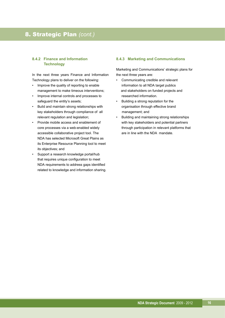### 8. Strategic Plan *(cont.)*

#### **8.4.2 Finance and Information Technology**

In the next three years Finance and Information Technology plans to deliver on the following:

- Improve the quality of reporting to enable management to make timeous interventions;
- Improve internal controls and processes to safeguard the entity's assets;
- Build and maintain strong relationships with key stakeholders through compliance of all relevant regulation and legislation;
- Provide mobile access and enablement of core processes via a web-enabled widely accessible collaborative project tool. The NDA has selected Microsoft Great Plains as its Enterprise Resource Planning tool to meet its objectives; and
- Support a research knowledge portal/hub that requires unique configuration to meet NDA requirements to address gaps identified related to knowledge and information sharing.

#### **8.4.3 Marketing and Communications**

Marketing and Communications' strategic plans for the next three years are:

- Communicating credible and relevant information to all NDA target publics and stakeholders on funded projects and researched information.
- Building a strong reputation for the organisation through effective brand management; and
- Building and maintaining strong relationships with key stakeholders and potential partners through participation in relevant platforms that are in line with the NDA mandate.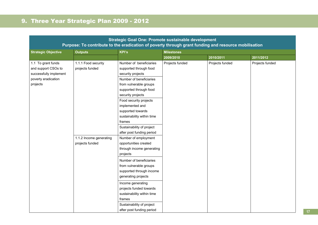## 9. Three Year Strategic Plan 2009 - 2012

|                                                                                                        | Strategic Goal One: Promote sustainable development<br>Purpose: To contribute to the eradication of poverty through grant funding and resource mobilisation |                                                                                                                                                                                                                                                                                                                                                                                                                                                                                                                                                                                                                                                                       |                   |                 |                 |  |  |  |
|--------------------------------------------------------------------------------------------------------|-------------------------------------------------------------------------------------------------------------------------------------------------------------|-----------------------------------------------------------------------------------------------------------------------------------------------------------------------------------------------------------------------------------------------------------------------------------------------------------------------------------------------------------------------------------------------------------------------------------------------------------------------------------------------------------------------------------------------------------------------------------------------------------------------------------------------------------------------|-------------------|-----------------|-----------------|--|--|--|
| <b>Strategic Objective</b>                                                                             | <b>Outputs</b>                                                                                                                                              | <b>KPI's</b>                                                                                                                                                                                                                                                                                                                                                                                                                                                                                                                                                                                                                                                          | <b>Milestones</b> |                 |                 |  |  |  |
|                                                                                                        |                                                                                                                                                             |                                                                                                                                                                                                                                                                                                                                                                                                                                                                                                                                                                                                                                                                       | 2009/2010         | 2010/2011       | 2011/2012       |  |  |  |
| 1.1 To grant funds<br>and support CSOs to<br>successfully implement<br>poverty eradication<br>projects | 1.1.1 Food security<br>projects funded<br>1.1.2 Income generating<br>projects funded                                                                        | Number of beneficiaries<br>supported through food<br>security projects<br>Number of beneficiaries<br>from vulnerable groups<br>supported through food<br>security projects<br>Food security projects<br>implemented and<br>supported towards<br>sustainability within time<br>frames<br>Sustainability of project<br>after post funding period<br>Number of employment<br>opportunities created<br>through income generating<br>projects<br>Number of beneficiaries<br>from vulnerable groups<br>supported through income<br>generating projects<br>Income generating<br>projects funded towards<br>sustainability within time<br>frames<br>Sustainability of project | Projects funded   | Projects funded | Projects funded |  |  |  |
|                                                                                                        |                                                                                                                                                             | after post funding period                                                                                                                                                                                                                                                                                                                                                                                                                                                                                                                                                                                                                                             |                   |                 |                 |  |  |  |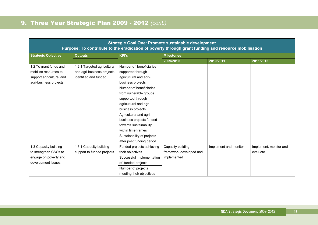|                            | Purpose: To contribute to the eradication of poverty through grant funding and resource mobilisation |                            | Strategic Goal One: Promote sustainable development |                       |                        |  |  |
|----------------------------|------------------------------------------------------------------------------------------------------|----------------------------|-----------------------------------------------------|-----------------------|------------------------|--|--|
| <b>Strategic Objective</b> | <b>Outputs</b>                                                                                       | <b>KPI's</b>               | <b>Milestones</b>                                   |                       |                        |  |  |
|                            |                                                                                                      |                            | 2009/2010                                           | 2010/2011             | 2011/2012              |  |  |
| 1.2 To grant funds and     | 1.2.1 Targeted agricultural                                                                          | Number of beneficiaries    |                                                     |                       |                        |  |  |
| mobilise resources to      | and agri-business projects                                                                           | supported through          |                                                     |                       |                        |  |  |
| support agricultural and   | identified and funded                                                                                | agricultural and agri-     |                                                     |                       |                        |  |  |
| agri-business projects     |                                                                                                      | business projects          |                                                     |                       |                        |  |  |
|                            |                                                                                                      | Number of beneficiaries    |                                                     |                       |                        |  |  |
|                            |                                                                                                      | from vulnerable groups     |                                                     |                       |                        |  |  |
|                            |                                                                                                      | supported through          |                                                     |                       |                        |  |  |
|                            |                                                                                                      | agricultural and agri-     |                                                     |                       |                        |  |  |
|                            |                                                                                                      | business projects          |                                                     |                       |                        |  |  |
|                            |                                                                                                      | Agricultural and agri-     |                                                     |                       |                        |  |  |
|                            |                                                                                                      | business projects funded   |                                                     |                       |                        |  |  |
|                            |                                                                                                      | towards sustainability     |                                                     |                       |                        |  |  |
|                            |                                                                                                      | within time frames         |                                                     |                       |                        |  |  |
|                            |                                                                                                      | Sustainability of projects |                                                     |                       |                        |  |  |
|                            |                                                                                                      | after post funding period. |                                                     |                       |                        |  |  |
| 1.3 Capacity building      | 1.3.1 Capacity building                                                                              | Funded projects achieving  | Capacity building                                   | Implement and monitor | Implement, monitor and |  |  |
| to strengthen CSOs to      | support to funded projects                                                                           | their objectives           | framework developed and                             |                       | evaluate               |  |  |
| engage on poverty and      |                                                                                                      | Successful implementation  | implemented                                         |                       |                        |  |  |
| development issues         |                                                                                                      | of funded projects         |                                                     |                       |                        |  |  |
|                            |                                                                                                      | Number of projects         |                                                     |                       |                        |  |  |
|                            |                                                                                                      | meeting their objectives   |                                                     |                       |                        |  |  |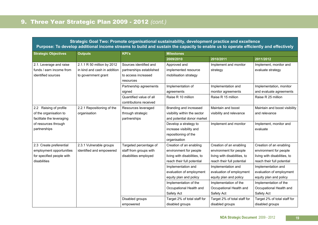|                                                                                                  |                                                                                   |                                                                                        | Strategic Goal Two: Promote organisational sustainability, development practice and excellence<br>Purpose: To develop additional income streams to build and sustain the capacity to enable us to operate efficiently and effectively |                                                                                                                              |                                                                                                                              |  |  |  |
|--------------------------------------------------------------------------------------------------|-----------------------------------------------------------------------------------|----------------------------------------------------------------------------------------|---------------------------------------------------------------------------------------------------------------------------------------------------------------------------------------------------------------------------------------|------------------------------------------------------------------------------------------------------------------------------|------------------------------------------------------------------------------------------------------------------------------|--|--|--|
| <b>Strategic Objectives</b>                                                                      | <b>Outputs</b>                                                                    | <b>KPI's</b>                                                                           | <b>Milestones</b>                                                                                                                                                                                                                     |                                                                                                                              |                                                                                                                              |  |  |  |
|                                                                                                  |                                                                                   |                                                                                        | 2009/2010                                                                                                                                                                                                                             | 2010/2011                                                                                                                    | 2011/2012                                                                                                                    |  |  |  |
| 2.1. Leverage and raise<br>funds / earn income from<br>identified sources                        | 2.1.1 R 50 million by 2012<br>in kind and cash in addition<br>to government grant | Sources identified and<br>partnerships established<br>to access increased<br>resources | Approved and<br>implemented resource<br>mobilisation strategy                                                                                                                                                                         | Implement and monitor<br>strategy                                                                                            | Implement, monitor and<br>evaluate strategy                                                                                  |  |  |  |
|                                                                                                  |                                                                                   | Partnership agreements<br>signed<br>Quantified value of all<br>contributions received  | Implementation of<br>agreements<br>Raise R 10 million                                                                                                                                                                                 | Implementation and<br>monitor agreements<br>Raise R 15 million                                                               | Implementation, monitor<br>and evaluate agreements<br>Raise R 25 million                                                     |  |  |  |
| 2.2 Raising of profile<br>of the organisation to<br>facilitate the leveraging                    | 2.2.1 Repositioning of the<br>organisation                                        | Resources leveraged<br>through strategic<br>partnerships                               | Branding and increased<br>visibility within the sector<br>and potential donor market                                                                                                                                                  | Maintain and boost<br>visibility and relevance                                                                               | Maintain and boost visibility<br>and relevance                                                                               |  |  |  |
| of resources through<br>partnerships                                                             |                                                                                   |                                                                                        | Develop a strategy to<br>increase visibility and<br>repositioning of the<br>organisation                                                                                                                                              | Implement and monitor                                                                                                        | Implement, monitor and<br>evaluate                                                                                           |  |  |  |
| 2.3 Create preferential<br>employment opportunities<br>for specified people with<br>disabilities | 2.3.1 Vulnerable groups<br>identified and empowered                               | Targeted percentage of<br>staff from groups with<br>disabilities employed              | Creation of an enabling<br>environment for people<br>living with disabilities, to<br>reach their full potential                                                                                                                       | Creation of an enabling<br>environment for people<br>living with disabilities, to<br>reach their full potential              | Creation of an enabling<br>environment for people<br>living with disabilities, to<br>reach their full potential              |  |  |  |
|                                                                                                  |                                                                                   |                                                                                        | Implementation and<br>evaluation of employment<br>equity plan and policy<br>Implementation of the<br>Occupational Health and                                                                                                          | Implementation and<br>evaluation of employment<br>equity plan and policy<br>Implementation of the<br>Occupational Health and | Implementation and<br>evaluation of employment<br>equity plan and policy<br>Implementation of the<br>Occupational Health and |  |  |  |
|                                                                                                  |                                                                                   | Disabled groups<br>empowered                                                           | Safety Act<br>Target 2% of total staff for<br>disabled groups                                                                                                                                                                         | Safety Act<br>Target 2% of total staff for<br>disabled groups                                                                | Safety Act<br>Target 2% of total staff for<br>disabled groups                                                                |  |  |  |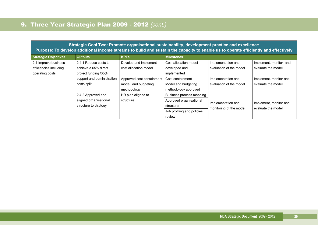|                                                                   | Strategic Goal Two: Promote organisational sustainability, development practice and excellence<br>Purpose: To develop additional income streams to build and sustain the capacity to enable us to operate efficiently and effectively |                                                |                                                                                                          |                                               |                                              |
|-------------------------------------------------------------------|---------------------------------------------------------------------------------------------------------------------------------------------------------------------------------------------------------------------------------------|------------------------------------------------|----------------------------------------------------------------------------------------------------------|-----------------------------------------------|----------------------------------------------|
| <b>Strategic Objectives</b>                                       | <b>Outputs</b>                                                                                                                                                                                                                        | <b>KPI's</b>                                   | <b>Milestones</b>                                                                                        |                                               |                                              |
| 2.4 Improve business<br>efficiencies including<br>operating costs | 2.4.1 Reduce costs to<br>achieve a 65% direct<br>project funding /35%                                                                                                                                                                 | Develop and implement<br>cost allocation model | Cost allocation model<br>developed and<br>implemented                                                    | Implementation and<br>evaluation of the model | Implement, monitor and<br>evaluate the model |
|                                                                   | support and administration<br>Approved cost containment<br>costs split<br>model and budgeting<br>methodology                                                                                                                          |                                                | Cost containment<br>Model and budgeting<br>methodology approved                                          | Implementation and<br>evaluation of the model | Implement, monitor and<br>evaluate the model |
|                                                                   | 2.4.2 Approved and<br>aligned organisational<br>structure to strategy                                                                                                                                                                 | HR plan aligned to<br>structure                | Business process mapping<br>Approved organisational<br>structure<br>Job profiling and policies<br>review | Implementation and<br>monitoring of the model | Implement, monitor and<br>evaluate the model |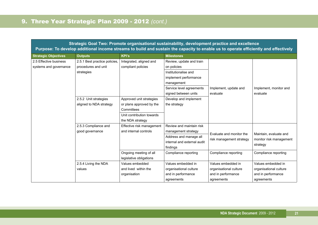|                             | Strategic Goal Two: Promote organisational sustainability, development practice and excellence<br>Purpose: To develop additional income streams to build and sustain the capacity to enable us to operate efficiently and effectively |                           |                             |                          |                         |
|-----------------------------|---------------------------------------------------------------------------------------------------------------------------------------------------------------------------------------------------------------------------------------|---------------------------|-----------------------------|--------------------------|-------------------------|
| <b>Strategic Objectives</b> | <b>Outputs</b>                                                                                                                                                                                                                        | <b>KPI's</b>              | <b>Milestones</b>           |                          |                         |
| 2.5 Effective business      | 2.5.1 Best practice policies,                                                                                                                                                                                                         | Integrated, aligned and   | Review, update and train    |                          |                         |
| systems and governance      | procedures and unit                                                                                                                                                                                                                   | compliant policies        | on policies                 |                          |                         |
|                             | strategies                                                                                                                                                                                                                            |                           | Institutionalise and        |                          |                         |
|                             |                                                                                                                                                                                                                                       |                           | implement performance       |                          |                         |
|                             |                                                                                                                                                                                                                                       |                           | management                  |                          |                         |
|                             |                                                                                                                                                                                                                                       |                           | Service level agreements    | Implement, update and    | Implement, monitor and  |
|                             |                                                                                                                                                                                                                                       |                           | signed between units        | evaluate                 | evaluate                |
|                             | 2.5.2 Unit strategies                                                                                                                                                                                                                 | Approved unit strategies  | Develop and implement       |                          |                         |
|                             | aligned to NDA strategy                                                                                                                                                                                                               | or plans approved by the  | the strategy                |                          |                         |
|                             |                                                                                                                                                                                                                                       | Committees                |                             |                          |                         |
|                             |                                                                                                                                                                                                                                       | Unit contribution towards |                             |                          |                         |
|                             |                                                                                                                                                                                                                                       | the NDA strategy          |                             |                          |                         |
|                             | 2.5.3 Compliance and                                                                                                                                                                                                                  | Effective risk management | Review and maintain risk    |                          |                         |
|                             | good governance                                                                                                                                                                                                                       | and internal controls     | management strategy         | Evaluate and monitor the | Maintain, evaluate and  |
|                             |                                                                                                                                                                                                                                       |                           | Address and manage all      | risk management strategy | monitor risk management |
|                             |                                                                                                                                                                                                                                       |                           | internal and external audit |                          | strategy                |
|                             |                                                                                                                                                                                                                                       |                           | findings                    |                          |                         |
|                             |                                                                                                                                                                                                                                       | Ongoing meeting of all    | Compliance reporting        | Compliance reporting     | Compliance reporting    |
|                             |                                                                                                                                                                                                                                       | legislative obligations   |                             |                          |                         |
|                             | 2.5.4 Living the NDA                                                                                                                                                                                                                  | Values embedded           | Values embedded in          | Values embedded in       | Values embedded in      |
|                             | values                                                                                                                                                                                                                                | and lived within the      | organisational culture      | organisational culture   | organisational culture  |
|                             |                                                                                                                                                                                                                                       | organisation              | and in performance          | and in performance       | and in performance      |
|                             |                                                                                                                                                                                                                                       |                           | agreements                  | agreements               | agreements              |

**21**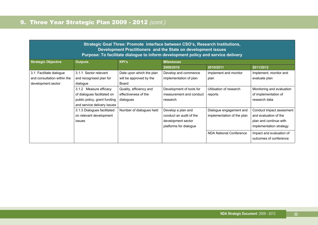| Strategic Goal Three: Promote interface between CSO's, Research Institutions,<br>Development Practitioners and the State on development issues<br>Purpose: To facilitate dialogue to inform development policy and service delivery |                              |                          |                          |                            |                           |  |  |
|-------------------------------------------------------------------------------------------------------------------------------------------------------------------------------------------------------------------------------------|------------------------------|--------------------------|--------------------------|----------------------------|---------------------------|--|--|
| <b>Strategic Objective</b>                                                                                                                                                                                                          | <b>Outputs</b>               | <b>KPI's</b>             | <b>Milestones</b>        |                            |                           |  |  |
|                                                                                                                                                                                                                                     |                              |                          | 2010/2011<br>2009/2010   |                            | 2011/2012                 |  |  |
| 3.1 Facilitate dialogue                                                                                                                                                                                                             | 3.1.1 Sector relevant        | Date upon which the plan | Develop and commence     | Implement and monitor      | Implement, monitor and    |  |  |
| and consultation within the                                                                                                                                                                                                         | and recognised plan for      | will be approved by the  | implementation of plan   | plan                       | evaluate plan             |  |  |
| development sector                                                                                                                                                                                                                  | dialogue                     | Board                    |                          |                            |                           |  |  |
|                                                                                                                                                                                                                                     | 3.1.2 Measure efficacy       | Quality, efficiency and  | Development of tools for | Utilisation of research    | Monitoring and evaluation |  |  |
|                                                                                                                                                                                                                                     | of dialogues facilitated on  | effectiveness of the     | measurement and conduct  | reports                    | of implementation of      |  |  |
|                                                                                                                                                                                                                                     | public policy, grant funding | dialogues                | research                 |                            | research data             |  |  |
|                                                                                                                                                                                                                                     | and service delivery issues  |                          |                          |                            |                           |  |  |
|                                                                                                                                                                                                                                     | 3.1.3 Dialogues facilitated  | Number of dialogues held | Develop a plan and       | Dialogue engagement and    | Conduct impact assesment  |  |  |
|                                                                                                                                                                                                                                     | on relevant development      |                          | conduct an audit of the  | implementation of the plan | and evaluation of the     |  |  |
|                                                                                                                                                                                                                                     | <i>issues</i>                |                          | development sector       |                            | plan and continue with    |  |  |
|                                                                                                                                                                                                                                     |                              |                          | platforms for dialogue   |                            | implementation strategy   |  |  |
|                                                                                                                                                                                                                                     |                              |                          |                          | NDA National Conference    | Impact and evaluation of  |  |  |
|                                                                                                                                                                                                                                     |                              |                          |                          |                            | outcomes of conference    |  |  |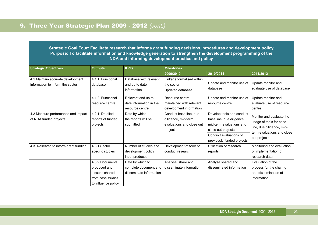**Strategic Goal Four: Facilitate research that informs grant funding decisions, procedures and development policy Purpose: To facilitate information and knowledge generation to strengthen the development programming of the NDA and informing development practice and policy**

| <b>Strategic Objectives</b>                                           | <b>KPI's</b><br><b>Outputs</b>                                                                |                                                                      | <b>Milestones</b>                                                                      |                                                                                                                                                                  |                                                                                                                                |  |
|-----------------------------------------------------------------------|-----------------------------------------------------------------------------------------------|----------------------------------------------------------------------|----------------------------------------------------------------------------------------|------------------------------------------------------------------------------------------------------------------------------------------------------------------|--------------------------------------------------------------------------------------------------------------------------------|--|
|                                                                       |                                                                                               |                                                                      | 2009/2010                                                                              | 2010/2011                                                                                                                                                        | 2011/2012                                                                                                                      |  |
| 4.1 Maintain accurate development<br>information to inform the sector | 4.1.1 Functional<br>database                                                                  | Database with relevant<br>and up to date<br>information              | Linkage formalised within<br>the sector<br>Updated database                            | Update and monitor use of<br>database                                                                                                                            | Update monitor and<br>evaluate use of database                                                                                 |  |
| 4.1.2 Functional<br>resource centre                                   |                                                                                               | Relevant and up to<br>date information in the<br>resource centre     | Resource centre<br>maintained with relevant<br>development information                 | Update and monitor use of<br>resource centre                                                                                                                     | Update monitor and<br>evaluate use of resource<br>centre                                                                       |  |
| 4.2 Measure performance and impact<br>of NDA funded projects          | 4.2.1 Detailed<br>reports of funded<br>projects                                               | Date by which<br>the reports will be<br>submitted                    | Conduct base line, due<br>diligence, mid-term<br>evaluations and close out<br>projects | Develop tools and conduct<br>base line, due diligence,<br>mid-term evaluations and<br>close out projects<br>Conduct evaluations of<br>previously funded projects | Monitor and evaluate the<br>usage of tools for base<br>line, due diligence, mid-<br>term evaluations and close<br>out projects |  |
| 4.3 Research to inform grant funding                                  | 4.3.1 Sector<br>specific studies                                                              | Number of studies and<br>development policy<br>input produced        | Development of tools to<br>conduct research                                            | Utilisation of research<br>reports                                                                                                                               | Monitoring and evaluation<br>of implementation of<br>research data                                                             |  |
|                                                                       | 4.3.2 Documents<br>produced and<br>lessons shared<br>from case studies<br>to influence policy | Date by which to<br>complete document and<br>disseminate information | Analyse, share and<br>disseminate information                                          | Analyse shared and<br>disseminated information                                                                                                                   | Evaluation of the<br>process for the sharing<br>and dissemination of<br>information                                            |  |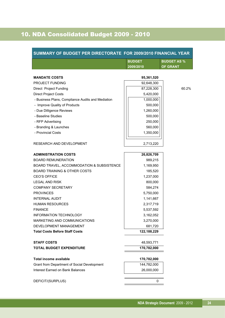## 10. NDA Consolidated Budget 2009 - 2010

| SUMMARY OF BUDGET PER DIRECTORATE FOR 2009/2010 FINANCIAL YEAR |                           |                    |
|----------------------------------------------------------------|---------------------------|--------------------|
|                                                                | <b>BUDGET</b>             | <b>BUDGET AS %</b> |
|                                                                | 2009/2010                 | <b>OF GRANT</b>    |
|                                                                |                           |                    |
| <b>MANDATE COSTS</b>                                           | 95,361,520                |                    |
| <b>PROJECT FUNDING</b>                                         | 92,648,300                |                    |
| Direct Project Funding                                         | 87,228,300                | 60.2%              |
| <b>Direct Project Costs</b>                                    | 5,420,000                 |                    |
| - Business Plans, Compliance Audits and Mediation              | 1,000,000                 |                    |
| - Improve Quality of Products                                  | 500,000                   |                    |
| - Due Dilligence Reviews                                       | 1,260,000                 |                    |
| - Baseline Studies                                             | 500,000                   |                    |
| - RFP Advertising                                              | 250,000                   |                    |
| - Branding & Launches                                          | 560,000                   |                    |
| - Provincial Costs                                             | 1,350,000                 |                    |
|                                                                |                           |                    |
| RESEARCH AND DEVELOPMENT                                       | 2,713,220                 |                    |
| <b>ADMINISTRATION COSTS</b>                                    | 26,826,709                |                    |
| <b>BOARD REMUNERATION</b>                                      | 989,215                   |                    |
| BOARD TRAVEL, ACCOMMODATION & SUBSISTENCE                      | 1,169,950                 |                    |
| <b>BOARD TRAINING &amp; OTHER COSTS</b>                        | 185,520                   |                    |
| <b>CEO'S OFFICE</b>                                            | 1,237,000                 |                    |
| <b>LEGAL AND RISK</b>                                          | 800,000                   |                    |
| <b>COMPANY SECRETARY</b>                                       | 584,274                   |                    |
| <b>PROVINCES</b>                                               | 5,750,000                 |                    |
| <b>INTERNAL AUDIT</b>                                          | 1,141,667                 |                    |
| <b>HUMAN RESOURCES</b>                                         | 2,317,719                 |                    |
| <b>FINANCE</b>                                                 | 5,537,592                 |                    |
| <b>INFORMATION TECHNOLOGY</b>                                  | 3,162,052                 |                    |
| <b>MARKETING AND COMMUNICATIONS</b>                            | 3,270,000                 |                    |
| DEVELOPMENT MANAGEMENT                                         | 681,720                   |                    |
| <b>Total Costs Before Staff Costs</b>                          | 122,188,229               |                    |
| <b>STAFF COSTS</b>                                             |                           |                    |
| <b>TOTAL BUDGET EXPENDITURE</b>                                | 48,593,771<br>170,782,000 |                    |
|                                                                |                           |                    |
| <b>Total income available</b>                                  | 170,782,000               |                    |
| Grant from Department of Social Development                    | 144,782,000               |                    |
| <b>Interest Earned on Bank Balances</b>                        | 26,000,000                |                    |
| DEFICIT/(SURPLUS)                                              | 0                         |                    |
|                                                                |                           |                    |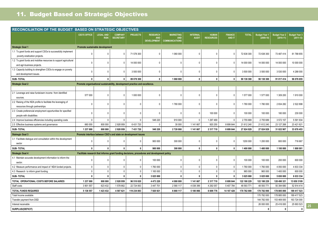## 11. Budget Based on Strategic Objectives

| RECONCILIATION OF THE BUDGET BASED ON STRATEGIC OBJECTIVES                                       |                                                                             |                                 |                                    |                 |                                                                                             |                                                         |                                 |                                  |                                 |              |                                     |                                     |                                       |
|--------------------------------------------------------------------------------------------------|-----------------------------------------------------------------------------|---------------------------------|------------------------------------|-----------------|---------------------------------------------------------------------------------------------|---------------------------------------------------------|---------------------------------|----------------------------------|---------------------------------|--------------|-------------------------------------|-------------------------------------|---------------------------------------|
|                                                                                                  | <b>CEO'S OFFICE</b>                                                         | <b>LEGAL AND</b><br><b>RISK</b> | <b>COMPANY</b><br><b>SECRETARY</b> | <b>PROJECTS</b> | <b>RESEARCH</b><br><b>AND</b><br>DEVELOPMENT                                                | <b>MARKETING</b><br><b>AND</b><br><b>COMMUNICATIONS</b> | <b>INTERNAL</b><br><b>AUDIT</b> | <b>HUMAN</b><br><b>RESOURCES</b> | <b>FINANCE</b><br><b>AND IT</b> | <b>TOTAL</b> | <b>Budget Year 1</b><br>$(2009-10)$ | <b>Budget Year 2</b><br>$(2010-11)$ | <b>Budget Year 3</b><br>$(2011 - 12)$ |
| <b>Strategic Goal 1</b>                                                                          |                                                                             | Promote sustainable development |                                    |                 |                                                                                             |                                                         |                                 |                                  |                                 |              |                                     |                                     |                                       |
| 1.1 To grant funds and support CSOs to successfully implement<br>poverty eradication projects.   | $\mathbf{0}$                                                                | $\mathbf{0}$                    | $\mathbf 0$                        | 71 578 300      | $\mathbf 0$                                                                                 | 1 060 000                                               | $\mathbf{0}$                    | $\mathbf 0$                      | $\mathbf 0$                     | 72 638 300   | 72 638 300                          | 73 487 414                          | 81 788 655                            |
| 1.2 To grant funds and mobilise resources to support agricultural<br>and agri-business projects. | $\overline{0}$                                                              | $\Omega$                        | 0                                  | 14 000 000      | $\mathbf 0$                                                                                 | $\mathbf{0}$                                            | $\Omega$                        | $\mathbf 0$                      | $\mathbf{0}$                    | 14 000 000   | 14 000 000                          | 14 000 000                          | 10 000 000                            |
| 1.3 Capacity building to strengthen CSOs to engage on poverty<br>and development issues.         | $\mathbf{0}$                                                                | $\Omega$                        | $\Omega$                           | 3 500 000       | 0                                                                                           | $\Omega$                                                | $\Omega$                        | $\mathbf 0$                      | $\mathbf 0$                     | 3 500 000    | 3 500 000                           | 3 530 000                           | 4 288 000                             |
| <b>SUB-TOTAL</b>                                                                                 | 0                                                                           | $\mathbf{0}$                    | 0                                  | 89 078 300      | $\mathbf{0}$                                                                                | 1 060 000                                               | $\mathbf 0$                     | $\mathbf{0}$                     | $\mathbf 0$                     | 90 138 300   | 90 138 300                          | 91 017 414                          | 96 076 655                            |
| <b>Strategic Goal 2</b>                                                                          | Promote organisational sustainability, development practice and excellence. |                                 |                                    |                 |                                                                                             |                                                         |                                 |                                  |                                 |              |                                     |                                     |                                       |
|                                                                                                  |                                                                             |                                 |                                    |                 |                                                                                             |                                                         |                                 |                                  |                                 |              |                                     |                                     |                                       |
| 2.1 Leverage and raise funds/earn income from identified<br>sources                              | 577 000                                                                     | $\mathbf{0}$                    | $\mathbf{0}$                       | 1 000 000       | 0                                                                                           | $\mathbf{0}$                                            | $\mathbf{0}$                    | $\mathbf 0$                      | 0                               | 1577000      | 1577000                             | 1 309 200                           | 1910000                               |
| 2.2 Raising of the NDA profile to facilitate the leveraging of<br>resources through partnerships | $\mathbf{0}$                                                                | $\Omega$                        | $\mathbf{0}$                       | $\Omega$        | 0                                                                                           | 1780 000                                                | $\mathbf{0}$                    | $\mathbf{0}$                     | 0                               | 1780 000     | 1780 000                            | 2834282                             | 2522898                               |
| 2.3 Create preferencial employment opportunities for specified<br>people with disabilities       | $\overline{0}$                                                              | $\Omega$                        | $\Omega$                           | $\Omega$        | $\Omega$                                                                                    | $\mathbf 0$                                             | $\mathbf 0$                     | 100 000                          | 0                               | 100 000      | 100 000                             | 180 000                             | 230 000                               |
| 2.4 Improve business efficiencies including operating costs                                      | $\overline{0}$                                                              | $\mathbf{0}$                    | $\mathbf 0$                        | $\mathbf{0}$    | 548 220                                                                                     | 910 000                                                 | $\mathbf 0$                     | 1 297 469                        | $\mathbf{0}$                    | 2755689      | 2755689                             | 3 572 157                           | 5 591 934                             |
| 2.5 Effective business systems and governance                                                    | 660 000                                                                     | 800 000                         | 2928959                            | 6 431 720       | $\mathbf{0}$                                                                                | 30 000                                                  | 1 141 667                       | 920 250                          | 8 699 644                       | 21 612 240   | 21 612 240                          | 23 127 268                          | 23 421 621                            |
| <b>SUB-TOTAL</b>                                                                                 | 1 237 000                                                                   | 800 000                         | 2928959                            | 7 431 720       | 548 220                                                                                     | 2720 000                                                | 1 141 667                       | 2 3 1 7 7 1 9                    | 8 699 644                       | 27 824 929   | 27 824 929                          | 31 022 907                          | 33 676 453                            |
| <b>Statregic Goal 3</b>                                                                          | Promote interface between CSO's and state on development issues             |                                 |                                    |                 |                                                                                             |                                                         |                                 |                                  |                                 |              |                                     |                                     |                                       |
| 3.1 Facilitate dialogue and consultation within the development<br>sector                        | $\overline{0}$                                                              | $\Omega$                        | 0                                  | $\Omega$        | 900 000                                                                                     | 300 000                                                 | $\mathbf{0}$                    | $\mathbf 0$                      | $\mathbf 0$                     | 1200 000     | 1 200 000                           | 800 000                             | 716 667                               |
| <b>SUB-TOTAL</b>                                                                                 | $\mathbf{0}$                                                                | $\mathbf{0}$                    | 0                                  | $\mathbf 0$     | 900 000                                                                                     | 300 000                                                 | $\mathbf 0$                     | $\mathbf 0$                      | $\mathbf 0$                     | 1 400 000    | 1 400 000                           | 1 100 000                           | 1800 001                              |
| <b>Strategic Goal 4</b>                                                                          |                                                                             |                                 |                                    |                 | Facilitate research that informs grant funding decisions, procedures and development policy |                                                         |                                 |                                  |                                 |              |                                     |                                     |                                       |
| 4.1 Maintain accurate development information to inform the<br>sector.                           | $\mathbf{0}$                                                                | $\Omega$                        | 0                                  | $\mathbf{0}$    | 100 000                                                                                     | $\mathbf{0}$                                            | $\mathbf 0$                     | $\mathbf{0}$                     | $\mathbf 0$                     | 100 000      | 100 000                             | 200 000                             | 600 000                               |
| 4.2 Measure performance and impact of NDA funded projects.                                       | $\,0\,$                                                                     | $\mathbf 0$                     | $\mathsf 0$                        | $\mathbb O$     | 1760 000                                                                                    | $\mathsf 0$                                             | $\mathsf 0$                     | $\mathbb O$                      | $\mathsf{O}\xspace$             | 1760 000     | 1760 000                            | 4 050 000                           | 4 833 334                             |
| 4.3 Research to inform grant funding.                                                            | $\mathbf 0$                                                                 | $\mathbf 0$                     | $\mathbf 0$                        | $\mathsf 0$     | 1 165 000                                                                                   | $\mathbf 0$                                             | $\mathbf 0$                     | $\mathbf 0$                      | $\mathbf 0$                     | 965 000      | 965 000                             | 1 400 000                           | 600 000                               |
| <b>SUB-TOTAL</b>                                                                                 | $\mathbf 0$                                                                 | $\mathbf{0}$                    | $\mathbf 0$                        | $\mathbf 0$     | 3 025 000                                                                                   | $\mathbf 0$                                             | $\mathbf 0$                     | $\mathbf 0$                      | $\mathbf 0$                     | 3 025 000    | 3 025 000                           | 5 650 000                           | 6 033 334                             |
| TOTAL OPERATIONAL COSTS BEFORE SALARIES                                                          | 1 237 000                                                                   | 800 000                         | 2928959                            | 96 510 020      | 4 473 220                                                                                   | 4 080 000                                               | 1 141 667                       | 2 3 1 7 7 1 9                    | 8 699 644                       | 122 188 229  | 122 188 229                         | 128 490 321                         | 13 650 3109                           |
| Staff costs                                                                                      | 3 901 557                                                                   | 623 432                         | 1578662                            | 22 724 063      | 3 447 701                                                                                   | 2 580 117                                               | 4 038 399                       | 4 292 057                        | 5 407 784                       | 48 593 771   | 48 593 771                          | 50 394 680                          | 52 914 414                            |
| <b>TOTAL FUNDS REQUIRED</b>                                                                      | 5 138 557                                                                   | 1 423 432                       | 4 507 621                          | 119 234 083     | 7920921                                                                                     | 6 660 117                                               | 5 180 066                       | 6 609 776                        | 14 107 428                      | 170 782 000  | 170 782 000                         | 178 885 000                         | 189 417 523                           |
| Total Income available                                                                           |                                                                             |                                 |                                    |                 |                                                                                             |                                                         |                                 |                                  |                                 |              | 170 782 000                         | 178 885 000                         | 189 417 523                           |
| Transfer payment from DSD                                                                        |                                                                             |                                 |                                    |                 |                                                                                             |                                                         |                                 |                                  |                                 |              | 144 782 000                         | 153 469 000                         | 163 724 000                           |
| Interest receivable                                                                              |                                                                             |                                 |                                    |                 |                                                                                             |                                                         |                                 |                                  |                                 |              | 26 000 000                          | 25 416 000                          | 25 693 523                            |
| SURPLUS/(DEFICIT)                                                                                |                                                                             |                                 |                                    |                 |                                                                                             |                                                         |                                 |                                  |                                 |              | $\mathbf{0}$                        | $\mathbf{0}$                        | $\mathbf 0$                           |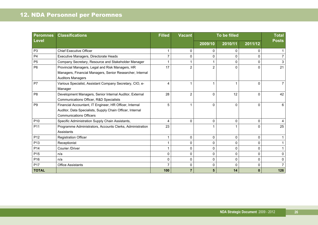| <b>Peromnes</b> | <b>Classifications</b>                                    | <b>Filled</b><br><b>Vacant</b> |                |                | To be filled |          |              |  |  |
|-----------------|-----------------------------------------------------------|--------------------------------|----------------|----------------|--------------|----------|--------------|--|--|
| <b>Level</b>    |                                                           |                                |                | 2009/10        | 2010/11      | 2011/12  | <b>Posts</b> |  |  |
| P <sub>3</sub>  | <b>Chief Executive Officer</b>                            | 1                              | $\Omega$       | 0              | 0            | $\Omega$ |              |  |  |
| P <sub>4</sub>  | Executive Managers, Directorate Heads                     | 7                              | $\Omega$       | 0              | 0            | $\Omega$ |              |  |  |
| P <sub>5</sub>  | Company Secretary, Resource and Stakeholder Manager       | 1                              |                |                | 0            | $\Omega$ |              |  |  |
| P <sub>6</sub>  | Provincial Managers, Legal and Risk Managers, HR          | 17                             | $\overline{2}$ | $\overline{2}$ | 0            | $\Omega$ | 21           |  |  |
|                 | Managers, Financial Managers, Senior Researcher, Internal |                                |                |                |              |          |              |  |  |
|                 | <b>Auditors Managers</b>                                  |                                |                |                |              |          |              |  |  |
| P7              | Various Specialist, Assistant Company Secretary, CIO, e-  | 4                              |                |                | 1            | $\Omega$ |              |  |  |
|                 | Manager                                                   |                                |                |                |              |          |              |  |  |
| P <sub>8</sub>  | Development Managers, Senior Internal Auditor, External   | 28                             | 2              | $\Omega$       | 12           | $\Omega$ | 42           |  |  |
|                 | Communications Officer, R&D Specialists                   |                                |                |                |              |          |              |  |  |
| P <sub>9</sub>  | Financial Accountant, IT Engineer, HR Officer, Internal   | 5                              |                | $\Omega$       | $\Omega$     | $\Omega$ | 6            |  |  |
|                 | Auditor, Data Specialists, Supply Chain Officer, Internal |                                |                |                |              |          |              |  |  |
|                 | <b>Communications Officers</b>                            |                                |                |                |              |          |              |  |  |
| P <sub>10</sub> | Specific Administration Supply Chain Assistants,          | 4                              | $\Omega$       | 0              | $\Omega$     | $\Omega$ |              |  |  |
| P11             | Programme Administrators, Accounts Clerks, Administration | 23                             |                |                |              | $\Omega$ | 25           |  |  |
|                 | Assistants                                                |                                |                |                |              |          |              |  |  |
| P <sub>12</sub> | <b>Registration Officer</b>                               | 1                              | $\mathbf{0}$   | 0              | $\Omega$     | $\Omega$ |              |  |  |
| P <sub>13</sub> | Receptionist                                              | 1                              | $\Omega$       | 0              | $\Omega$     | $\Omega$ |              |  |  |
| P <sub>14</sub> | Courier /Driver                                           | $\mathbf 1$                    | $\mathbf{0}$   | 0              | $\Omega$     | $\Omega$ |              |  |  |
| P <sub>15</sub> | n/a                                                       | 0                              | $\mathbf{0}$   | 0              | 0            | 0        | <sup>n</sup> |  |  |
| P <sub>16</sub> | n/a                                                       | 0                              | $\Omega$       | 0              | 0            | 0        |              |  |  |
| P17             | <b>Office Assistants</b>                                  | $\overline{7}$                 | $\Omega$       | 0              | $\Omega$     | 0        |              |  |  |
| <b>TOTAL</b>    |                                                           | 100                            |                | 5              | 14           | $\bf{0}$ | 126          |  |  |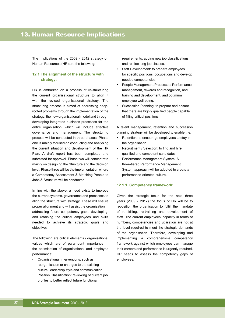The implications of the 2009 - 2012 strategy on Human Resources (HR) are the following:

#### **12.1 The alignment of the structure with strategy:**

HR is embarked on a process of re-structuring the current organisational structure to align it with the revised organisational strategy. The structuring process is aimed at addressing deeprooted problems through the implementation of the strategy, the new organisational model and through developing integrated business processes for the entire organisation, which will include effective governance and management. The structuring process will be conducted in three phases. Phase one is mainly focused on conducting and analysing the current situation and development of the HR Plan. A draft report has been completed and submitted for approval. Phase two will concentrate mainly on designing the Structure and the decision level. Phase three will be the implementation where a Competency Assessment & Matching People to Jobs & Structure will be conducted.

In line with the above, a need exists to improve the current systems, governance and processes to align the structure with strategy. These will ensure proper alignment and will assist the organisation in addressing future competency gaps, developing, and retaining the critical employees and skills needed to achieve its strategic goals and objectives.

The following are critical elements / organisational values which are of paramount importance in the optimisation of organisational and employee performance:

- Organisational Interventions: such as reorganisation or changes to the existing culture; leadership style and communication.
- Position Classification: reviewing of current job profiles to better reflect future functional

 requirements; adding new job classifications and reallocating job classes.

- Staff Development: to prepare employees for specific positions, occupations and develop needed competencies.
- People Management Processes: Performance management, rewards and recognition, and training and development, and optimum employee well-being.
- Succession Planning: to prepare and ensure that there are highly qualified people capable of filling critical positions.

A talent management, retention and succession planning strategy will be developed to enable the:

- Retention: to encourage employees to stay in the organisation.
- Recruitment / Selection: to find and hire qualified and competent candidates
- Performance Management System: A three-tiered Performance Management System approach will be adopted to create a performance-oriented culture.

#### **12.1.1 Competency framework:**

Given the strategic focus for the next three years (2009 - 2012) the focus of HR will be to reposition the organisation to fulfill the mandate of re-skilling, re-training and development of staff. The current employees' capacity in terms of numbers, competencies and utilisation are not at the level required to meet the strategic demands of the organisation. Therefore, developing and implementing a comprehensive competency framework against which employees can manage their careers and performance is urgently required. HR needs to assess the competency gaps of employees.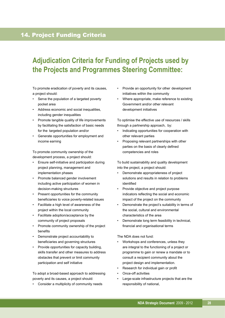### 14. Project Funding Criteria

## **Adjudication Criteria for Funding of Projects used by the Projects and Programmes Steering Committee:**

To promote eradication of poverty and its causes, a project should:

- Serve the population of a targeted poverty pocket area
- Address economic and social inequalities, including gender inequalities
- Promote tangible quality of life improvements by facilitating the satisfaction of basic needs for the targeted population and/or
- Generate opportunities for employment and income earning

To promote community ownership of the development process, a project should:

- Ensure self-initiative and participation during project planning, management and implementation phases
- Promote balanced gender involvement including active participation of women in decision-making structures
- Present opportunities for the community beneficiaries to voice poverty-related issues
- Facilitate a high level of awareness of the project within the local community
- Facilitate adoption/acceptance by the community of project proposals
- Promote community ownership of the project benefits
- Demonstrate project accountability to beneficiaries and governing structures
- Provide opportunities for capacity building, skills transfer and other measures to address obstacles that prevent or limit community participation and self initiative

To adopt a broad-based approach to addressing poverty and its causes, a project should:

• Consider a multiplicity of community needs

- Provide an opportunity for other development initiatives within the community
- Where appropriate, make reference to existing Government and/or other relevant development initiatives

To optimise the effective use of resources / skills through a partnership approach, by:

- Indicating opportunities for cooperation with other relevant parties
- Proposing relevant partnerships with other parties on the basis of clearly defined competencies and roles

To build sustainability and quality development into the project, a project should:

- Demonstrate appropriateness of project solutions and results in relation to problems identified
- Provide objective and project purpose indicators reflecting the social and economic impact of the project on the community
- Demonstrate the project's suitability in terms of the social, cultural and environmental characteristics of the area
- Demonstrate long term feasibility in technical, financial and organisational terms

#### The NDA does not fund:

- Workshops and conferences, unless they are integral to the functioning of a project or programme to gain or renew a mandate or to consult a recipient community about the project design and implementation.
- Research for individual gain or profit
- Once-off activities
- Large-scale infrastructure projects that are the responsibility of national,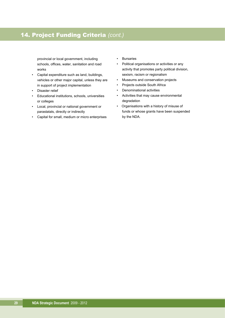## 14. Project Funding Criteria *(cont.)*

 provincial or local government, including schools, offices, water, sanitation and road works

- Capital expenditure such as land, buildings, vehicles or other major capital, unless they are in support of project implementation
- Disaster relief
- Educational institutions, schools, universities or colleges
- Local, provincial or national government or parastatals, directly or indirectly
- Capital for small, medium or micro enterprises
- Bursaries
- Political organisations or activities or any activity that promotes party political division, sexism, racism or regionalism
- Museums and conservation projects
- Projects outside South Africa
- Denominational activities
- Activities that may cause environmental degradation
- Organisations with a history of misuse of funds or whose grants have been suspended by the NDA.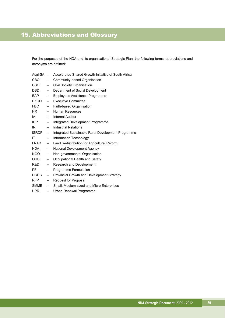For the purposes of the NDA and its organisational Strategic Plan, the following terms, abbreviations and acronyms are defined:

| Asgi-SA -    |                          | Accelerated Shared Growth Initiative of South Africa |
|--------------|--------------------------|------------------------------------------------------|
| CBO          | $\overline{\phantom{0}}$ | Community-based Organisation                         |
| CSO          | $\qquad \qquad -$        | Civil Society Organisation                           |
| DSD          | $\qquad \qquad -$        | Department of Social Development                     |
| <b>EAP</b>   | $\qquad \qquad -$        | Employees Assistance Programme                       |
| EXCO         | $\qquad \qquad -$        | <b>Executive Committee</b>                           |
| <b>FBO</b>   | $\qquad \qquad -$        | Faith-based Organisation                             |
| HR I         | $\qquad \qquad -$        | Human Resources                                      |
| IA           | $\qquad \qquad -$        | <b>Internal Auditor</b>                              |
| IDP          | $-$                      | Integrated Development Programme                     |
| IR           | $\overline{\phantom{0}}$ | Industrial Relations                                 |
| <b>ISRDP</b> | $\qquad \qquad -$        | Integrated Sustainable Rural Development Programme   |
| ΙT           | $\overline{\phantom{0}}$ | Information Technology                               |
| LRAD         | $\qquad \qquad -$        | Land Redistribution for Agricultural Reform          |
| <b>NDA</b>   | $\qquad \qquad -$        | National Development Agency                          |
| NGO 1        | $\qquad \qquad -$        | Non-governmental Organisation                        |
| OHS          | $\qquad \qquad -$        | Occupational Health and Safety                       |
| R&D          | $\overline{\phantom{a}}$ | Research and Development                             |
| <b>PF</b>    | $\qquad \qquad -$        | Programme Formulation                                |
| PGDS         | $\qquad \qquad -$        | Provincial Growth and Development Strategy           |
| <b>RFP</b>   | $\overline{\phantom{0}}$ | Request for Proposal                                 |
| SMME         | $\overline{\phantom{a}}$ | Small, Medium-sized and Micro Enterprises            |
| <b>UPR</b>   | $\equiv$                 | Urban Renewal Programme                              |
|              |                          |                                                      |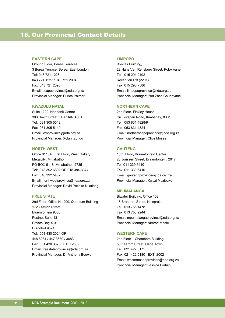### 16. Our Provincial Contact Details

#### **EASTERN CAPE**

Ground Floor, Berea Terraces 3 Berea Terrace, Berea, East London Tel: 043 721 1226 043 721 1227 / 043 721 2094 Fax: 043 721 2096 Email: ecapeprovince@nda.org.za Provincial Manager: Eurica Palmer

#### **KWAZULU NATAL**

Suite 1202, Nedbank Centre 303 Smith Street, DURBAN 4001 Tel: 031 305 5542 Fax: 031 305 5140 Email: kznprovince@nda.org.za Provincial Manager: Xolani Zungu

#### **NORTH WEST**

Office 0113A, First Floor, West Gallery Megacity, Mmabatho PO BOX 6118, Mmabatho, 2735 Tel: 018 392 6892 OR 018 384-3374 Fax: 018 392 5432 Email: northwestprovince@nda.org.za Provincial Manager: David Potlako Ntlatleng

#### **FREE STATE**

2nd Floor, Office No 209, Quantum Building 172 Zastron Street Bloemfontein 9300 Postnet Suite 131 Private Bag X 01 Brandhof 9324 Tel: 051 430 2024 OR 448 8084 / 447 3680 / 3683 Fax: 051 430 3376 EXT: 2509 Email: freestateprovince@nda.org.za Provincial Manager: Dr Anthony Bouwer

#### **LIMPOPO**

Bonitas Building, 22 Hans Van Rensburg Street, Polokwane Tel: 015 291 2492 Reception Ext (2201) Fax: 015 295 7586 Email: limpopoprovince@nda.org.za Provincial Manager: Prof Zach Chuenyane

#### **NORTHERN CAPE**

2nd Floor, Flaxley House Du Toitspan Road, Kimberley, 8301 Tel: 053 831 4828/9 Fax: 053 831 4824 Email: northerncapeprovince@nda.org.za Provincial Manager: Clive Moses

#### **GAUTENG**

10th Floor, Braamfontein Centre 23 Jorissen Street, Braamfontein, 2017 Tel: 011 339 6410 Fax: 011 339 6410 Email: gautengprovince@nda.org.za Provincial Manager: Kwazi Mazibuko

#### **MPUMALANGA**

Biwater Building, Office 103 16 Branders Street, Nelspruit Tel: 013 755 1478 Fax: 013 753 2244 Email: mpumalangaprovince@nda.org.za Provincial Manager: Nimrod Mbele

#### **WESTERN CAPE**

2nd Floor – Chambers Building 50 Keerom Street, Cape Town Tel: 021 422 5175 Fax: 021 422 5180 EXT: 2002 Email: westerncapeprovince@nda.org.za Provincial Manager: Jessica Fortuin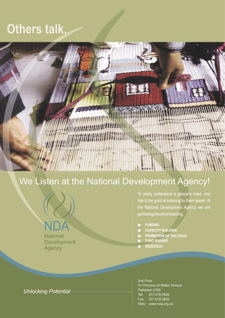# Others talk.



## We Listen at the National Development Agency!



To really understand a people's need, one has to be good at listening to them speak. At the National Development Agency we are perfecting the art of listening.

- **FUNDING**
- **CAPACITY BUILDING**
- PROMOTION OF DIALOGUE
- **FUND RAISING**
- **RESEARCH**

**Unlocking Potential** 

2nd Floor 31 Princess of Wales Terrace Parktown 2193 011 018 5500 Tel: Fax: 011 018 5602 Web: www.nda.org.za